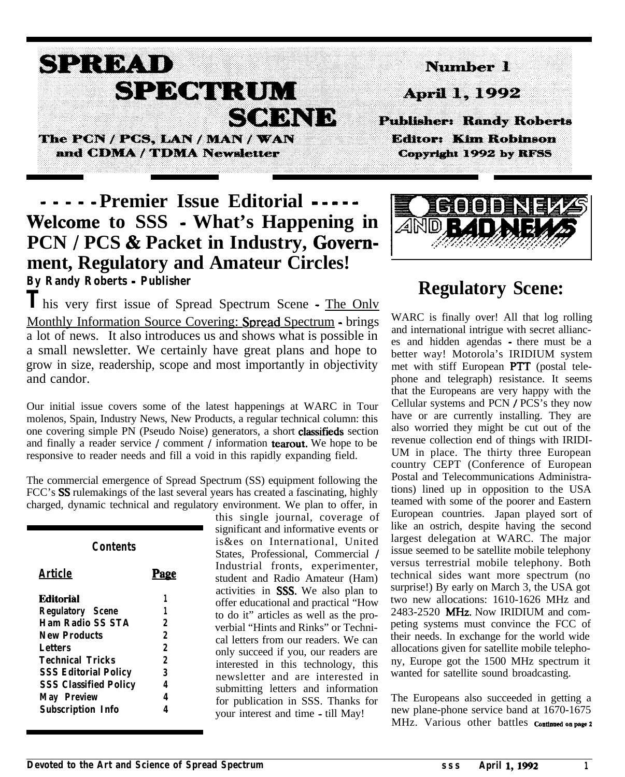# SPRMD SPECIFICIM **CONNIN**

The PCN / PCS, LAN / MAN / WAN and CDMA / TDMA Newsletter

## **- - - Premier Issue Editorial - - - - - Welcome to SSS - What's Happening in PCN / PCS & Packet in Industry, Govemment, Regulatory and Amateur Circles! By Randy Roberts - Publisher**

**T**his very first issue of Spread Spectrum Scene - The Onlv Monthly Information Source Covering: Spread Spectrum - brings a lot of news. It also introduces us and shows what is possible in a small newsletter. We certainly have great plans and hope to grow in size, readership, scope and most importantly in objectivity and candor.

Our initial issue covers some of the latest happenings at WARC in Tour molenos, Spain, Industry News, New Products, a regular technical column: this one covering simple PN (Pseudo Noise) generators, a short classifieds section and finally a reader service / comment / information tearout. We hope to be responsive to reader needs and fill a void in this rapidly expanding field.

The commercial emergence of Spread Spectrum (SS) equipment following the FCC's SS rulemakings of the last several years has created a fascinating, highly charged, dynamic technical and regulatory environment. We plan to offer, in

| Contents                     |      |  |  |
|------------------------------|------|--|--|
| Article                      | Page |  |  |
| <b>Editorial</b>             | 1    |  |  |
| <b>Regulatory Scene</b>      | 1    |  |  |
| <b>Ham Radio SS STA</b>      | 2    |  |  |
| <b>New Products</b>          | 2    |  |  |
| Letters                      | 2    |  |  |
| <b>Technical Tricks</b>      | 2    |  |  |
| <b>SSS Editorial Policy</b>  | 3    |  |  |
| <b>SSS Classified Policy</b> | 4    |  |  |
| <b>May Preview</b>           | 4    |  |  |
| <b>Subscription Info</b>     |      |  |  |

 $\blacksquare$ 

this single journal, coverage of significant and informative events or is&es on International, United States, Professional, Commercial / Industrial fronts, experimenter, student and Radio Amateur (Ham) activities in SSS. We also plan to offer educational and practical "How to do it" articles as well as the proverbial "Hints and Rinks" or Technical letters from our readers. We can only succeed if you, our readers are interested in this technology, this newsletter and are interested in submitting letters and information for publication in SSS. Thanks for your interest and time - till May!



# **Regulatory Scene:**

WARC is finally over! All that log rolling and international intrigue with secret alliances and hidden agendas - there must be a better way! Motorola's IRIDIUM system met with stiff European PTT (postal telephone and telegraph) resistance. It seems that the Europeans are very happy with the Cellular systems and PCN / PCS's they now have or are currently installing. They are also worried they might be cut out of the revenue collection end of things with IRIDI-UM in place. The thirty three European country CEPT (Conference of European Postal and Telecommunications Administrations) lined up in opposition to the USA teamed with some of the poorer and Eastern European countries. Japan played sort of like an ostrich, despite having the second largest delegation at WARC. The major issue seemed to be satellite mobile telephony versus terrestrial mobile telephony. Both technical sides want more spectrum (no surprise!) By early on March 3, the USA got two new allocations: 1610-1626 MHz and 2483-2520 MHz. Now IRIDIUM and competing systems must convince the FCC of their needs. In exchange for the world wide allocations given for satellite mobile telephony, Europe got the 1500 MHz spectrum it wanted for satellite sound broadcasting.

The Europeans also succeeded in getting a new plane-phone service band at 1670-1675 MHz. Various other battles continued on page 2



Nomber 1

**Publisher: Randy Roberts** 

**Editor: Kim Robinson** 

Copyright 1992 by RFSS

April 1, 1992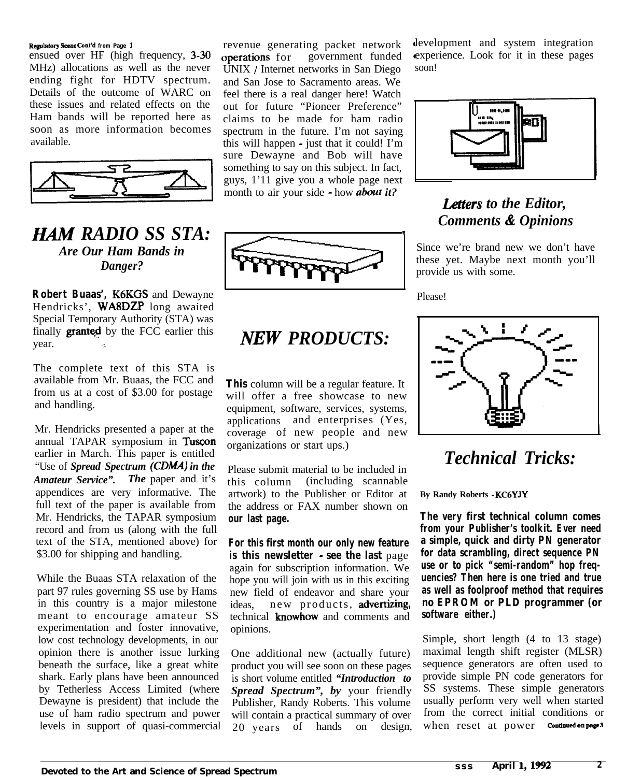#### Regulatory Scene **Cmt'd from Page** <sup>1</sup>

ensued over HF (high frequency, 3-30 MHz) allocations as well as the never ending fight for HDTV spectrum. Details of the outcome of WARC on these issues and related effects on the Ham bands will be reported here as soon as more information becomes ending fight for HDTV spectrum.<br>
Details of the outcome of WARC on<br>
these issues and related effects on the<br>
Ham bands will be reported here as<br>
soon as more information becomes<br>
available.



*B4M RADIO SS STA: Are Our Ham Bands in Danger?*

**Robert Buaas',** K6KGS and Dewayne Hendricks', WA8DZP long awaited Special Temporary Authority (STA) was finally **granted** by the FCC earlier this year.

The complete text of this STA is available from Mr. Buaas, the FCC and from us at a cost of \$3.00 for postage and handling.

Mr. Hendricks presented a paper at the annual TAPAR symposium in Tuscon earlier in March. This paper is entitled "Use of *Spread Spectrum (CDMA) in the Amateur Service". The* paper and it's appendices are very informative. The full text of the paper is available from Mr. Hendricks, the TAPAR symposium record and from us (along with the full text of the STA, mentioned above) for \$3.00 for shipping and handling.

While the Buaas STA relaxation of the part 97 rules governing SS use by Hams in this country is a major milestone meant to encourage amateur SS experimentation and foster innovative, low cost technology developments, in our opinion there is another issue lurking beneath the surface, like a great white shark. Early plans have been announced by Tetherless Access Limited (where Dewayne is president) that include the use of ham radio spectrum and power levels in support of quasi-commercial

operations for government funded revenue generating packet network UNIX / Internet networks in San Diego and San Jose to Sacramento areas. We feel there is a real danger here! Watch out for future "Pioneer Preference" claims to be made for ham radio spectrum in the future. I'm not saying this will happen - just that it could! I'm sure Dewayne and Bob will have something to say on this subject. In fact, guys, 1'11 give you a whole page next month to air your side - how *about it?*



## *NEW PRODUCTS:*

**This** column will be a regular feature. It will offer a free showcase to new equipment, software, services, systems, applications and enterprises (Yes, coverage of new people and new organizations or start ups.)

Please submit material to be included in this column (including scannable artwork) to the Publisher or Editor at the address or FAX number shown on **our last page.**

**For this first month our only new feature is this newsletter - see the last** page again for subscription information. We hope you will join with us in this exciting new field of endeavor and share your ideas, new products, advertizing, technical knowhow and comments and opinions.

One additional new (actually future) product you will see soon on these pages is short volume entitled *"Introduction to Spread Spectrum", by* your friendly Publisher, Randy Roberts. This volume will contain a practical summary of over 20 years of hands on design,

levelopment and system integration experience. Look for it in these pages soon!



## *Letters to the Editor, Comments & Opinions*

Since we're brand new we don't have these yet. Maybe next month you'll provide us with some.

Please!



## *Technical Tricks:*

**By Randy Roberts - KC6YJY**

**The very first technical column comes from your Publisher's toolkit. Ever need a simple, quick and dirty PN generator for data scrambling, direct sequence PN use or to pick "semi-random" hop frequencies? Then here is one tried and true as well as foolproof method that requires no EPROM or PLD programmer (or software either.)**

Simple, short length (4 to 13 stage) maximal length shift register (MLSR) sequence generators are often used to provide simple PN code generators for SS systems. These simple generators usually perform very well when started from the correct initial conditions or when reset at power Continued on page 3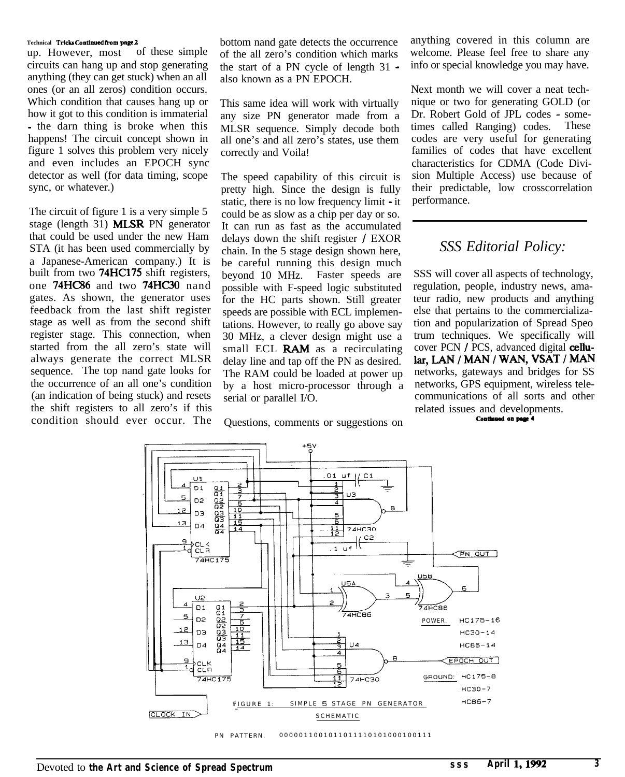#### **Technical Tricks** Ckmtiued **horn** page 2

up. However, most of these simple circuits can hang up and stop generating anything (they can get stuck) when an all ones (or an all zeros) condition occurs. Which condition that causes hang up or how it got to this condition is immaterial - the darn thing is broke when this happens! The circuit concept shown in figure 1 solves this problem very nicely and even includes an EPOCH sync detector as well (for data timing, scope sync, or whatever.)

The circuit of figure 1 is a very simple 5 stage (length 31) MLSR PN generator that could be used under the new Ham STA (it has been used commercially by a Japanese-American company.) It is built from two 74HC175 shift registers, one 74HC86 and two 74HC30 nand gates. As shown, the generator uses feedback from the last shift register stage as well as from the second shift register stage. This connection, when started from the all zero's state will always generate the correct MLSR sequence. The top nand gate looks for the occurrence of an all one's condition (an indication of being stuck) and resets the shift registers to all zero's if this condition should ever occur. The

bottom nand gate detects the occurrence of the all zero's condition which marks the start of a PN cycle of length 31 also known as a PN EPOCH.

This same idea will work with virtually any size PN generator made from a MLSR sequence. Simply decode both all one's and all zero's states, use them correctly and Voila!

The speed capability of this circuit is pretty high. Since the design is fully static, there is no low frequency limit  $\text{-}$  it could be as slow as a chip per day or so. It can run as fast as the accumulated delays down the shift register / EXOR chain. In the 5 stage design shown here, be careful running this design much beyond 10 MHz. Faster speeds are possible with F-speed logic substituted for the HC parts shown. Still greater speeds are possible with ECL implementations. However, to really go above say 30 MHz, a clever design might use a small ECL **RAM** as a recirculating delay line and tap off the PN as desired. The RAM could be loaded at power up by a host micro-processor through a serial or parallel I/O.

Questions, comments or suggestions on

anything covered in this column are welcome. Please feel free to share any info or special knowledge you may have.

Next month we will cover a neat technique or two for generating GOLD (or Dr. Robert Gold of JPL codes - sometimes called Ranging) codes. These codes are very useful for generating families of codes that have excellent characteristics for CDMA (Code Division Multiple Access) use because of their predictable, low crosscorrelation performance.

### *SSS Editorial Policy:*

SSS will cover all aspects of technology, regulation, people, industry news, amateur radio, new products and anything else that pertains to the commercialization and popularization of Spread Speo trum techniques. We specifically will cover PCN  $\overline{I}$  PCS, advanced digital cellular, LAN / MAN / WAN, VSAT / MAN networks, gateways and bridges for SS networks, GPS equipment, wireless telecommunications of all sorts and other related issues and developments.<br> **Continued on page 4** 



PN PATTERN. 0000011001011011110101000100111